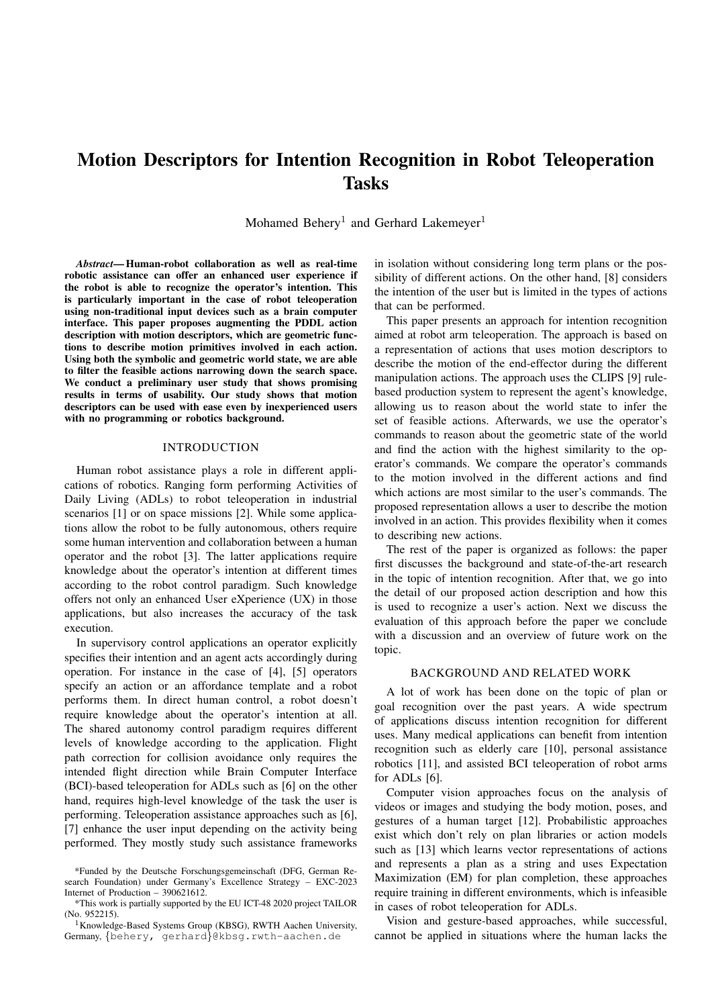# Motion Descriptors for Intention Recognition in Robot Teleoperation Tasks

Mohamed Behery<sup>1</sup> and Gerhard Lakemeyer<sup>1</sup>

*Abstract*— Human-robot collaboration as well as real-time robotic assistance can offer an enhanced user experience if the robot is able to recognize the operator's intention. This is particularly important in the case of robot teleoperation using non-traditional input devices such as a brain computer interface. This paper proposes augmenting the PDDL action description with motion descriptors, which are geometric functions to describe motion primitives involved in each action. Using both the symbolic and geometric world state, we are able to filter the feasible actions narrowing down the search space. We conduct a preliminary user study that shows promising results in terms of usability. Our study shows that motion descriptors can be used with ease even by inexperienced users with no programming or robotics background.

## INTRODUCTION

Human robot assistance plays a role in different applications of robotics. Ranging form performing Activities of Daily Living (ADLs) to robot teleoperation in industrial scenarios [1] or on space missions [2]. While some applications allow the robot to be fully autonomous, others require some human intervention and collaboration between a human operator and the robot [3]. The latter applications require knowledge about the operator's intention at different times according to the robot control paradigm. Such knowledge offers not only an enhanced User eXperience (UX) in those applications, but also increases the accuracy of the task execution.

In supervisory control applications an operator explicitly specifies their intention and an agent acts accordingly during operation. For instance in the case of [4], [5] operators specify an action or an affordance template and a robot performs them. In direct human control, a robot doesn't require knowledge about the operator's intention at all. The shared autonomy control paradigm requires different levels of knowledge according to the application. Flight path correction for collision avoidance only requires the intended flight direction while Brain Computer Interface (BCI)-based teleoperation for ADLs such as [6] on the other hand, requires high-level knowledge of the task the user is performing. Teleoperation assistance approaches such as [6], [7] enhance the user input depending on the activity being performed. They mostly study such assistance frameworks in isolation without considering long term plans or the possibility of different actions. On the other hand, [8] considers the intention of the user but is limited in the types of actions that can be performed.

This paper presents an approach for intention recognition aimed at robot arm teleoperation. The approach is based on a representation of actions that uses motion descriptors to describe the motion of the end-effector during the different manipulation actions. The approach uses the CLIPS [9] rulebased production system to represent the agent's knowledge, allowing us to reason about the world state to infer the set of feasible actions. Afterwards, we use the operator's commands to reason about the geometric state of the world and find the action with the highest similarity to the operator's commands. We compare the operator's commands to the motion involved in the different actions and find which actions are most similar to the user's commands. The proposed representation allows a user to describe the motion involved in an action. This provides flexibility when it comes to describing new actions.

The rest of the paper is organized as follows: the paper first discusses the background and state-of-the-art research in the topic of intention recognition. After that, we go into the detail of our proposed action description and how this is used to recognize a user's action. Next we discuss the evaluation of this approach before the paper we conclude with a discussion and an overview of future work on the topic.

## BACKGROUND AND RELATED WORK

A lot of work has been done on the topic of plan or goal recognition over the past years. A wide spectrum of applications discuss intention recognition for different uses. Many medical applications can benefit from intention recognition such as elderly care [10], personal assistance robotics [11], and assisted BCI teleoperation of robot arms for ADLs [6].

Computer vision approaches focus on the analysis of videos or images and studying the body motion, poses, and gestures of a human target [12]. Probabilistic approaches exist which don't rely on plan libraries or action models such as [13] which learns vector representations of actions and represents a plan as a string and uses Expectation Maximization (EM) for plan completion, these approaches require training in different environments, which is infeasible in cases of robot teleoperation for ADLs.

Vision and gesture-based approaches, while successful, cannot be applied in situations where the human lacks the

<sup>\*</sup>Funded by the Deutsche Forschungsgemeinschaft (DFG, German Research Foundation) under Germany's Excellence Strategy – EXC-2023 Internet of Production – 390621612.

<sup>\*</sup>This work is partially supported by the EU ICT-48 2020 project TAILOR (No. 952215).

<sup>&</sup>lt;sup>1</sup>Knowledge-Based Systems Group (KBSG), RWTH Aachen University, Germany, {behery, gerhard}@kbsg.rwth-aachen.de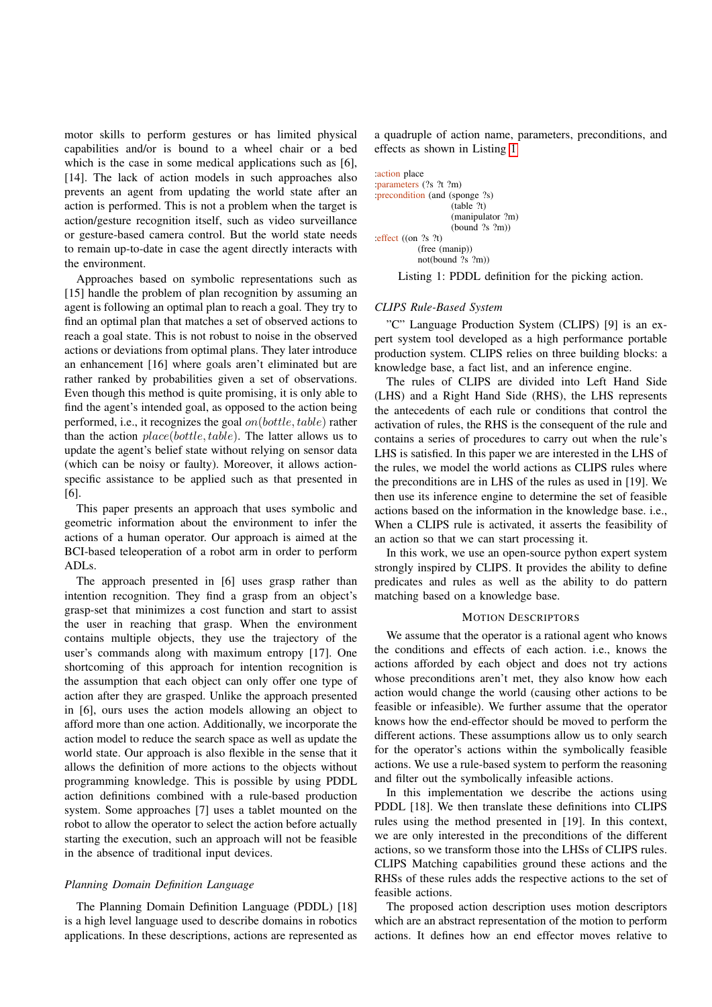motor skills to perform gestures or has limited physical capabilities and/or is bound to a wheel chair or a bed which is the case in some medical applications such as [6], [14]. The lack of action models in such approaches also prevents an agent from updating the world state after an action is performed. This is not a problem when the target is action/gesture recognition itself, such as video surveillance or gesture-based camera control. But the world state needs to remain up-to-date in case the agent directly interacts with the environment.

Approaches based on symbolic representations such as [15] handle the problem of plan recognition by assuming an agent is following an optimal plan to reach a goal. They try to find an optimal plan that matches a set of observed actions to reach a goal state. This is not robust to noise in the observed actions or deviations from optimal plans. They later introduce an enhancement [16] where goals aren't eliminated but are rather ranked by probabilities given a set of observations. Even though this method is quite promising, it is only able to find the agent's intended goal, as opposed to the action being performed, i.e., it recognizes the goal  $on(bottle, table)$  rather than the action  $place(bottle, table)$ . The latter allows us to update the agent's belief state without relying on sensor data (which can be noisy or faulty). Moreover, it allows actionspecific assistance to be applied such as that presented in [6].

This paper presents an approach that uses symbolic and geometric information about the environment to infer the actions of a human operator. Our approach is aimed at the BCI-based teleoperation of a robot arm in order to perform ADLs.

The approach presented in [6] uses grasp rather than intention recognition. They find a grasp from an object's grasp-set that minimizes a cost function and start to assist the user in reaching that grasp. When the environment contains multiple objects, they use the trajectory of the user's commands along with maximum entropy [17]. One shortcoming of this approach for intention recognition is the assumption that each object can only offer one type of action after they are grasped. Unlike the approach presented in [6], ours uses the action models allowing an object to afford more than one action. Additionally, we incorporate the action model to reduce the search space as well as update the world state. Our approach is also flexible in the sense that it allows the definition of more actions to the objects without programming knowledge. This is possible by using PDDL action definitions combined with a rule-based production system. Some approaches [7] uses a tablet mounted on the robot to allow the operator to select the action before actually starting the execution, such an approach will not be feasible in the absence of traditional input devices.

## *Planning Domain Definition Language*

The Planning Domain Definition Language (PDDL) [18] is a high level language used to describe domains in robotics applications. In these descriptions, actions are represented as

a quadruple of action name, parameters, preconditions, and effects as shown in Listing [1](#page-1-0)

<span id="page-1-0"></span>

| :action place<br>: parameters (?s ?t ?m) |  |
|------------------------------------------|--|
| precondition (and (sponge ?s)            |  |
| (table ?t)                               |  |
| (manipulator ?m)                         |  |
| (bound ?s ?m)                            |  |
| : effect $($ (on $?s$ $?t)$              |  |
| (free (manip))                           |  |
| not(bound $?s$ $?m$ )                    |  |

Listing 1: PDDL definition for the picking action.

## *CLIPS Rule-Based System*

"C" Language Production System (CLIPS) [9] is an expert system tool developed as a high performance portable production system. CLIPS relies on three building blocks: a knowledge base, a fact list, and an inference engine.

The rules of CLIPS are divided into Left Hand Side (LHS) and a Right Hand Side (RHS), the LHS represents the antecedents of each rule or conditions that control the activation of rules, the RHS is the consequent of the rule and contains a series of procedures to carry out when the rule's LHS is satisfied. In this paper we are interested in the LHS of the rules, we model the world actions as CLIPS rules where the preconditions are in LHS of the rules as used in [19]. We then use its inference engine to determine the set of feasible actions based on the information in the knowledge base. i.e., When a CLIPS rule is activated, it asserts the feasibility of an action so that we can start processing it.

In this work, we use an open-source python expert system strongly inspired by CLIPS. It provides the ability to define predicates and rules as well as the ability to do pattern matching based on a knowledge base.

#### MOTION DESCRIPTORS

We assume that the operator is a rational agent who knows the conditions and effects of each action. i.e., knows the actions afforded by each object and does not try actions whose preconditions aren't met, they also know how each action would change the world (causing other actions to be feasible or infeasible). We further assume that the operator knows how the end-effector should be moved to perform the different actions. These assumptions allow us to only search for the operator's actions within the symbolically feasible actions. We use a rule-based system to perform the reasoning and filter out the symbolically infeasible actions.

In this implementation we describe the actions using PDDL [18]. We then translate these definitions into CLIPS rules using the method presented in [19]. In this context, we are only interested in the preconditions of the different actions, so we transform those into the LHSs of CLIPS rules. CLIPS Matching capabilities ground these actions and the RHSs of these rules adds the respective actions to the set of feasible actions.

The proposed action description uses motion descriptors which are an abstract representation of the motion to perform actions. It defines how an end effector moves relative to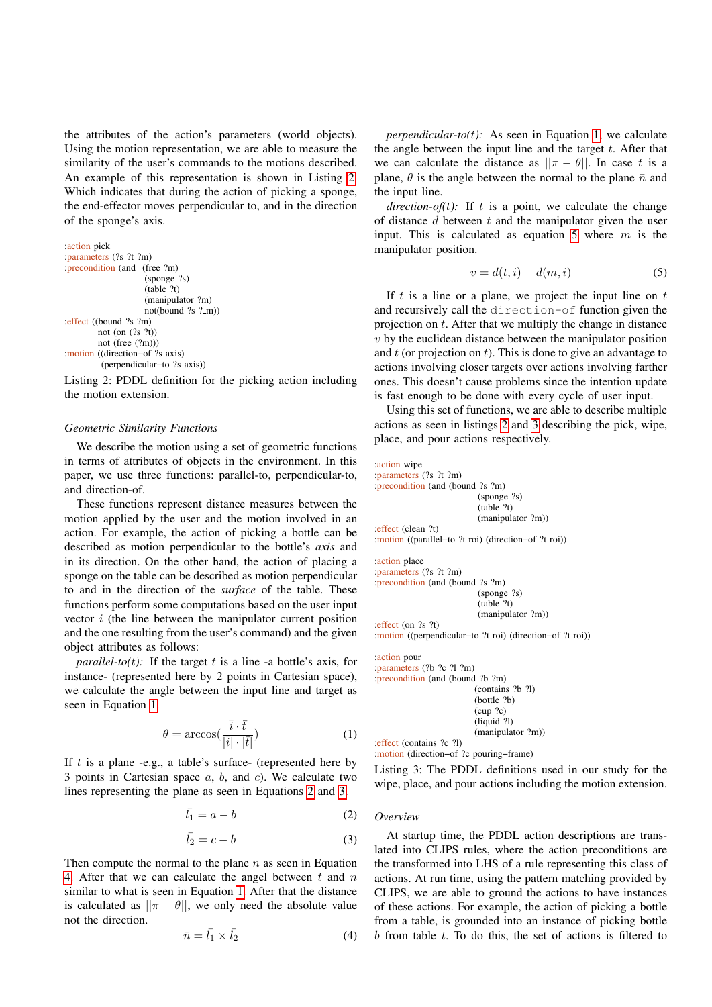the attributes of the action's parameters (world objects). Using the motion representation, we are able to measure the similarity of the user's commands to the motions described. An example of this representation is shown in Listing [2.](#page-2-0) Which indicates that during the action of picking a sponge, the end-effector moves perpendicular to, and in the direction of the sponge's axis.

```
:action pick
:parameters (?s ?t ?m)
:precondition (and (free ?m)
                    (sponge ?s)
                    (table ?t)
                    (manipulator ?m)
                    not(bound ?s ?m))
:effect ((bound ?s ?m)
        not (on (?s ?t))
        not (free (?m)))
:motion ((direction−of ?s axis)
         (perpendicular−to ?s axis))
```
Listing 2: PDDL definition for the picking action including the motion extension.

## *Geometric Similarity Functions*

We describe the motion using a set of geometric functions in terms of attributes of objects in the environment. In this paper, we use three functions: parallel-to, perpendicular-to, and direction-of.

These functions represent distance measures between the motion applied by the user and the motion involved in an action. For example, the action of picking a bottle can be described as motion perpendicular to the bottle's *axis* and in its direction. On the other hand, the action of placing a sponge on the table can be described as motion perpendicular to and in the direction of the *surface* of the table. These functions perform some computations based on the user input vector i (the line between the manipulator current position and the one resulting from the user's command) and the given object attributes as follows:

*parallel-to(t)*: If the target t is a line -a bottle's axis, for instance- (represented here by 2 points in Cartesian space), we calculate the angle between the input line and target as seen in Equation [1.](#page-2-1)

<span id="page-2-1"></span>
$$
\theta = \arccos\left(\frac{\overline{i} \cdot \overline{t}}{|\overline{i}| \cdot |\overline{t}|}\right) \tag{1}
$$

If  $t$  is a plane -e.g., a table's surface- (represented here by 3 points in Cartesian space  $a, b,$  and  $c$ ). We calculate two lines representing the plane as seen in Equations [2](#page-2-2) and [3.](#page-2-3)

<span id="page-2-2"></span>
$$
\bar{l_1} = a - b \tag{2}
$$

<span id="page-2-3"></span>
$$
\bar{l_2} = c - b \tag{3}
$$

Then compute the normal to the plane  $n$  as seen in Equation [4.](#page-2-4) After that we can calculate the angel between  $t$  and  $n$ similar to what is seen in Equation [1.](#page-2-1) After that the distance is calculated as  $||\pi - \theta||$ , we only need the absolute value not the direction.

<span id="page-2-4"></span>
$$
\bar{n} = \bar{l_1} \times \bar{l_2} \tag{4}
$$

*perpendicular-to(*t*):* As seen in Equation [1,](#page-2-1) we calculate the angle between the input line and the target  $t$ . After that we can calculate the distance as  $||\pi - \theta||$ . In case t is a plane,  $\theta$  is the angle between the normal to the plane  $\bar{n}$  and the input line.

*direction-of(t):* If t is a point, we calculate the change of distance  $d$  between  $t$  and the manipulator given the user input. This is calculated as equation [5](#page-2-5) where  $m$  is the manipulator position.

<span id="page-2-5"></span>
$$
v = d(t, i) - d(m, i) \tag{5}
$$

If  $t$  is a line or a plane, we project the input line on  $t$ and recursively call the direction-of function given the projection on  $t$ . After that we multiply the change in distance  $v$  by the euclidean distance between the manipulator position and  $t$  (or projection on  $t$ ). This is done to give an advantage to actions involving closer targets over actions involving farther ones. This doesn't cause problems since the intention update is fast enough to be done with every cycle of user input.

Using this set of functions, we are able to describe multiple actions as seen in listings [2](#page-2-0) and [3](#page-2-6) describing the pick, wipe, place, and pour actions respectively.

```
:action wipe
:parameters (?s ?t ?m)
:precondition (and (bound ?s ?m)
                         (sponge ?s)
                         (table ?t)
                         (manipulator ?m))
:effect (clean ?t)
:motion ((parallel−to ?t roi) (direction−of ?t roi))
:action place
:parameters (?s ?t ?m)
:precondition (and (bound ?s ?m)
                         (sponge ?s)
                         (table ?t)
                         (manipulator ?m))
:effect (on ?s ?t)
:motion ((perpendicular−to ?t roi) (direction−of ?t roi))
:action pour
:parameters (?b ?c ?l ?m)
:precondition (and (bound ?b ?m)
                         (contains ?b ?l)
                         (bottle ?b)
                         (cup ?c)
                         (liquid ?l)
                         (manipulator ?m))
:effect (contains ?c ?l)
:motion (direction−of ?c pouring−frame)
Listing 3: The PDDL definitions used in our study for the
wipe, place, and pour actions including the motion extension.
```
#### *Overview*

At startup time, the PDDL action descriptions are translated into CLIPS rules, where the action preconditions are the transformed into LHS of a rule representing this class of actions. At run time, using the pattern matching provided by CLIPS, we are able to ground the actions to have instances of these actions. For example, the action of picking a bottle from a table, is grounded into an instance of picking bottle  $b$  from table  $t$ . To do this, the set of actions is filtered to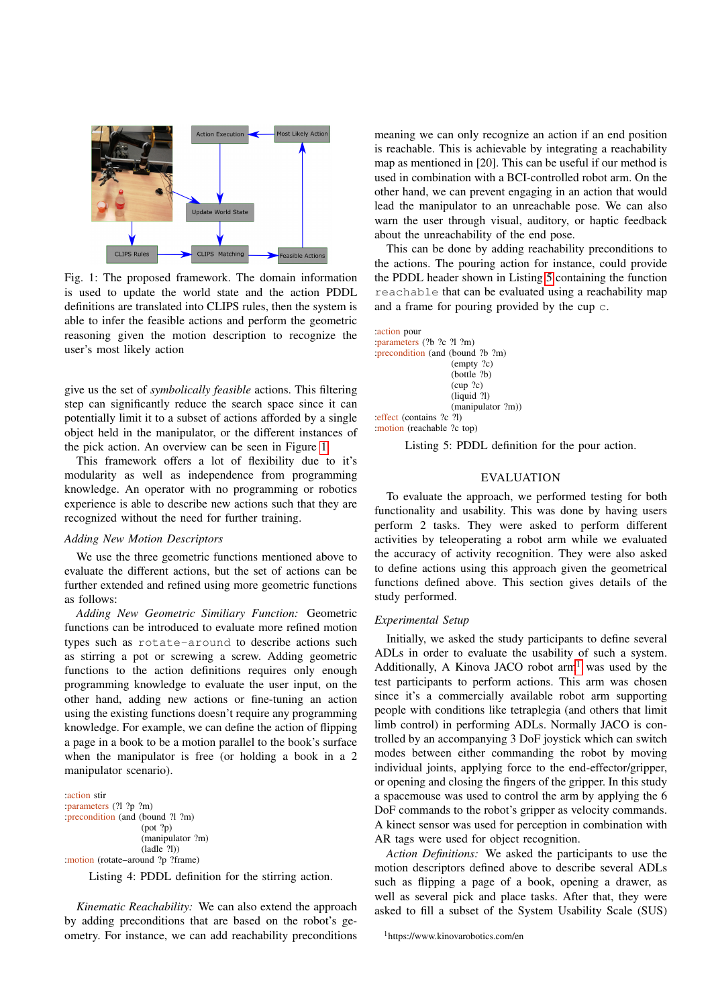<span id="page-3-0"></span>

Fig. 1: The proposed framework. The domain information is used to update the world state and the action PDDL definitions are translated into CLIPS rules, then the system is able to infer the feasible actions and perform the geometric reasoning given the motion description to recognize the user's most likely action

give us the set of *symbolically feasible* actions. This filtering step can significantly reduce the search space since it can potentially limit it to a subset of actions afforded by a single object held in the manipulator, or the different instances of the pick action. An overview can be seen in Figure [1.](#page-3-0)

This framework offers a lot of flexibility due to it's modularity as well as independence from programming knowledge. An operator with no programming or robotics experience is able to describe new actions such that they are recognized without the need for further training.

#### *Adding New Motion Descriptors*

We use the three geometric functions mentioned above to evaluate the different actions, but the set of actions can be further extended and refined using more geometric functions as follows:

*Adding New Geometric Similiary Function:* Geometric functions can be introduced to evaluate more refined motion types such as rotate-around to describe actions such as stirring a pot or screwing a screw. Adding geometric functions to the action definitions requires only enough programming knowledge to evaluate the user input, on the other hand, adding new actions or fine-tuning an action using the existing functions doesn't require any programming knowledge. For example, we can define the action of flipping a page in a book to be a motion parallel to the book's surface when the manipulator is free (or holding a book in a 2 manipulator scenario).

:action stir :parameters (?l ?p ?m) :precondition (and (bound ?l ?m) (pot ?p) (manipulator ?m) (ladle ?l)) :motion (rotate−around ?p ?frame)

Listing 4: PDDL definition for the stirring action.

*Kinematic Reachability:* We can also extend the approach by adding preconditions that are based on the robot's geometry. For instance, we can add reachability preconditions

meaning we can only recognize an action if an end position is reachable. This is achievable by integrating a reachability map as mentioned in [20]. This can be useful if our method is used in combination with a BCI-controlled robot arm. On the other hand, we can prevent engaging in an action that would lead the manipulator to an unreachable pose. We can also warn the user through visual, auditory, or haptic feedback about the unreachability of the end pose.

This can be done by adding reachability preconditions to the actions. The pouring action for instance, could provide the PDDL header shown in Listing [5](#page-3-1) containing the function reachable that can be evaluated using a reachability map and a frame for pouring provided by the cup c.

<span id="page-3-1"></span>:action pour :parameters (?b ?c ?l ?m) :precondition (and (bound ?b ?m) (empty ?c) (bottle ?b)  $(cup$  ?c) (liquid ?l) (manipulator ?m)) :effect (contains ?c ?l) :motion (reachable ?c top)

Listing 5: PDDL definition for the pour action.

# EVALUATION

To evaluate the approach, we performed testing for both functionality and usability. This was done by having users perform 2 tasks. They were asked to perform different activities by teleoperating a robot arm while we evaluated the accuracy of activity recognition. They were also asked to define actions using this approach given the geometrical functions defined above. This section gives details of the study performed.

## *Experimental Setup*

Initially, we asked the study participants to define several ADLs in order to evaluate the usability of such a system. Additionally, A Kinova JACO robot  $arm<sup>1</sup>$  $arm<sup>1</sup>$  $arm<sup>1</sup>$  was used by the test participants to perform actions. This arm was chosen since it's a commercially available robot arm supporting people with conditions like tetraplegia (and others that limit limb control) in performing ADLs. Normally JACO is controlled by an accompanying 3 DoF joystick which can switch modes between either commanding the robot by moving individual joints, applying force to the end-effector/gripper, or opening and closing the fingers of the gripper. In this study a spacemouse was used to control the arm by applying the 6 DoF commands to the robot's gripper as velocity commands. A kinect sensor was used for perception in combination with AR tags were used for object recognition.

*Action Definitions:* We asked the participants to use the motion descriptors defined above to describe several ADLs such as flipping a page of a book, opening a drawer, as well as several pick and place tasks. After that, they were asked to fill a subset of the System Usability Scale (SUS)

<span id="page-3-2"></span><sup>1</sup>https://www.kinovarobotics.com/en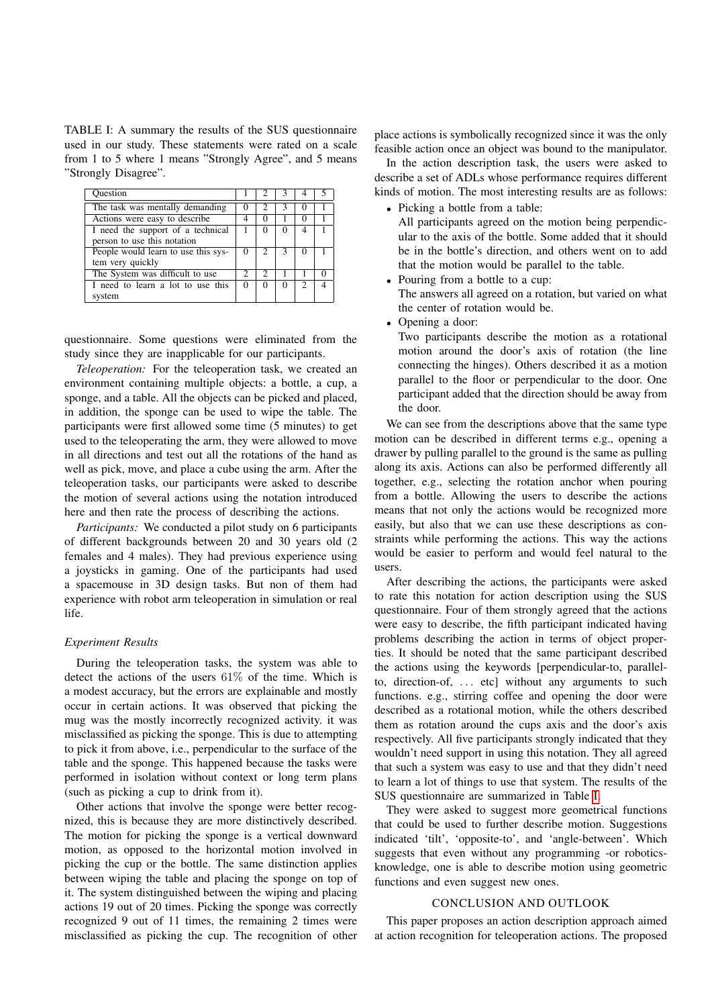<span id="page-4-0"></span>TABLE I: A summary the results of the SUS questionnaire used in our study. These statements were rated on a scale from 1 to 5 where 1 means "Strongly Agree", and 5 means "Strongly Disagree".

| Question                            |          |                             |   |                |  |
|-------------------------------------|----------|-----------------------------|---|----------------|--|
| The task was mentally demanding     | $\theta$ | 2                           | 3 | $\cup$         |  |
| Actions were easy to describe       | 4        | 0                           |   |                |  |
| I need the support of a technical   |          | 0                           |   | 4              |  |
| person to use this notation         |          |                             |   |                |  |
| People would learn to use this sys- | 0        |                             | 3 |                |  |
| tem very quickly                    |          |                             |   |                |  |
| The System was difficult to use     | 2        | $\mathcal{D}_{\mathcal{L}}$ |   |                |  |
| I need to learn a lot to use this   | $\Omega$ | 0                           | 0 | $\mathfrak{D}$ |  |
| system                              |          |                             |   |                |  |

questionnaire. Some questions were eliminated from the study since they are inapplicable for our participants.

*Teleoperation:* For the teleoperation task, we created an environment containing multiple objects: a bottle, a cup, a sponge, and a table. All the objects can be picked and placed, in addition, the sponge can be used to wipe the table. The participants were first allowed some time (5 minutes) to get used to the teleoperating the arm, they were allowed to move in all directions and test out all the rotations of the hand as well as pick, move, and place a cube using the arm. After the teleoperation tasks, our participants were asked to describe the motion of several actions using the notation introduced here and then rate the process of describing the actions.

*Participants:* We conducted a pilot study on 6 participants of different backgrounds between 20 and 30 years old (2 females and 4 males). They had previous experience using a joysticks in gaming. One of the participants had used a spacemouse in 3D design tasks. But non of them had experience with robot arm teleoperation in simulation or real life.

#### *Experiment Results*

During the teleoperation tasks, the system was able to detect the actions of the users 61% of the time. Which is a modest accuracy, but the errors are explainable and mostly occur in certain actions. It was observed that picking the mug was the mostly incorrectly recognized activity. it was misclassified as picking the sponge. This is due to attempting to pick it from above, i.e., perpendicular to the surface of the table and the sponge. This happened because the tasks were performed in isolation without context or long term plans (such as picking a cup to drink from it).

Other actions that involve the sponge were better recognized, this is because they are more distinctively described. The motion for picking the sponge is a vertical downward motion, as opposed to the horizontal motion involved in picking the cup or the bottle. The same distinction applies between wiping the table and placing the sponge on top of it. The system distinguished between the wiping and placing actions 19 out of 20 times. Picking the sponge was correctly recognized 9 out of 11 times, the remaining 2 times were misclassified as picking the cup. The recognition of other

place actions is symbolically recognized since it was the only feasible action once an object was bound to the manipulator.

In the action description task, the users were asked to describe a set of ADLs whose performance requires different kinds of motion. The most interesting results are as follows:

• Picking a bottle from a table:

All participants agreed on the motion being perpendicular to the axis of the bottle. Some added that it should be in the bottle's direction, and others went on to add that the motion would be parallel to the table.

- Pouring from a bottle to a cup: The answers all agreed on a rotation, but varied on what the center of rotation would be.
- Opening a door:

Two participants describe the motion as a rotational motion around the door's axis of rotation (the line connecting the hinges). Others described it as a motion parallel to the floor or perpendicular to the door. One participant added that the direction should be away from the door.

We can see from the descriptions above that the same type motion can be described in different terms e.g., opening a drawer by pulling parallel to the ground is the same as pulling along its axis. Actions can also be performed differently all together, e.g., selecting the rotation anchor when pouring from a bottle. Allowing the users to describe the actions means that not only the actions would be recognized more easily, but also that we can use these descriptions as constraints while performing the actions. This way the actions would be easier to perform and would feel natural to the users.

After describing the actions, the participants were asked to rate this notation for action description using the SUS questionnaire. Four of them strongly agreed that the actions were easy to describe, the fifth participant indicated having problems describing the action in terms of object properties. It should be noted that the same participant described the actions using the keywords [perpendicular-to, parallelto, direction-of, ... etc] without any arguments to such functions. e.g., stirring coffee and opening the door were described as a rotational motion, while the others described them as rotation around the cups axis and the door's axis respectively. All five participants strongly indicated that they wouldn't need support in using this notation. They all agreed that such a system was easy to use and that they didn't need to learn a lot of things to use that system. The results of the SUS questionnaire are summarized in Table [I.](#page-4-0)

They were asked to suggest more geometrical functions that could be used to further describe motion. Suggestions indicated 'tilt', 'opposite-to', and 'angle-between'. Which suggests that even without any programming -or roboticsknowledge, one is able to describe motion using geometric functions and even suggest new ones.

#### CONCLUSION AND OUTLOOK

This paper proposes an action description approach aimed at action recognition for teleoperation actions. The proposed